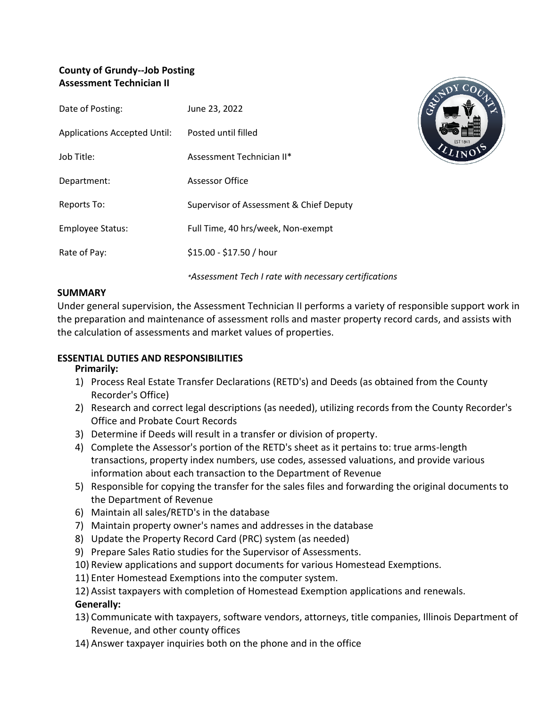# **County of Grundy--Job Posting Assessment Technician II**

| Date of Posting:                    | June 23, 2022                           |
|-------------------------------------|-----------------------------------------|
| <b>Applications Accepted Until:</b> | Posted until filled                     |
| Job Title:                          | Assessment Technician II*               |
| Department:                         | Assessor Office                         |
| Reports To:                         | Supervisor of Assessment & Chief Deputy |
| <b>Employee Status:</b>             | Full Time, 40 hrs/week, Non-exempt      |
| Rate of Pay:                        | \$15.00 - \$17.50 / hour                |
|                                     |                                         |



# *\*Assessment Tech I rate with necessary certifications*

#### **SUMMARY**

Under general supervision, the Assessment Technician II performs a variety of responsible support work in the preparation and maintenance of assessment rolls and master property record cards, and assists with the calculation of assessments and market values of properties.

# **ESSENTIAL DUTIES AND RESPONSIBILITIES**

# **Primarily:**

- 1) Process Real Estate Transfer Declarations (RETD's) and Deeds (as obtained from the County Recorder's Office)
- 2) Research and correct legal descriptions (as needed), utilizing records from the County Recorder's Office and Probate Court Records
- 3) Determine if Deeds will result in a transfer or division of property.
- 4) Complete the Assessor's portion of the RETD's sheet as it pertains to: true arms-length transactions, property index numbers, use codes, assessed valuations, and provide various information about each transaction to the Department of Revenue
- 5) Responsible for copying the transfer for the sales files and forwarding the original documents to the Department of Revenue
- 6) Maintain all sales/RETD's in the database
- 7) Maintain property owner's names and addresses in the database
- 8) Update the Property Record Card (PRC) system (as needed)
- 9) Prepare Sales Ratio studies for the Supervisor of Assessments.
- 10) Review applications and support documents for various Homestead Exemptions.
- 11) Enter Homestead Exemptions into the computer system.
- 12) Assist taxpayers with completion of Homestead Exemption applications and renewals.

# **Generally:**

- 13) Communicate with taxpayers, software vendors, attorneys, title companies, Illinois Department of Revenue, and other county offices
- 14) Answer taxpayer inquiries both on the phone and in the office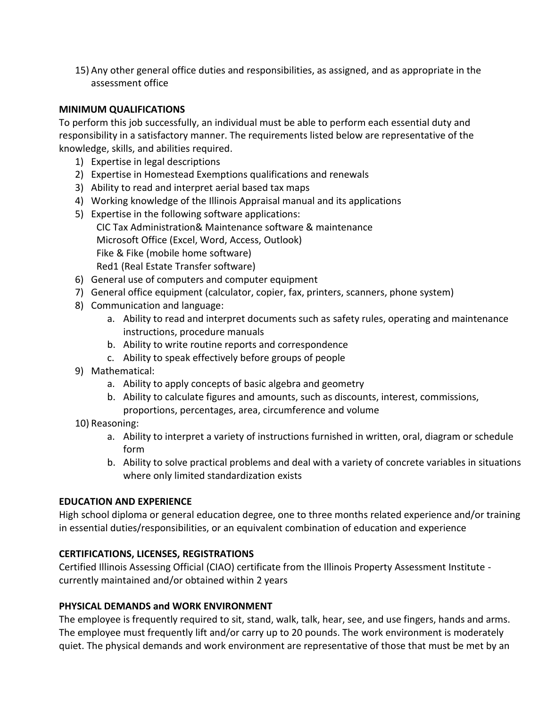15) Any other general office duties and responsibilities, as assigned, and as appropriate in the assessment office

#### **MINIMUM QUALIFICATIONS**

To perform this job successfully, an individual must be able to perform each essential duty and responsibility in a satisfactory manner. The requirements listed below are representative of the knowledge, skills, and abilities required.

- 1) Expertise in legal descriptions
- 2) Expertise in Homestead Exemptions qualifications and renewals
- 3) Ability to read and interpret aerial based tax maps
- 4) Working knowledge of the Illinois Appraisal manual and its applications
- 5) Expertise in the following software applications: CIC Tax Administration& Maintenance software & maintenance Microsoft Office (Excel, Word, Access, Outlook) Fike & Fike (mobile home software) Red1 (Real Estate Transfer software)
- 6) General use of computers and computer equipment
- 7) General office equipment (calculator, copier, fax, printers, scanners, phone system)
- 8) Communication and language:
	- a. Ability to read and interpret documents such as safety rules, operating and maintenance instructions, procedure manuals
	- b. Ability to write routine reports and correspondence
	- c. Ability to speak effectively before groups of people
- 9) Mathematical:
	- a. Ability to apply concepts of basic algebra and geometry
	- b. Ability to calculate figures and amounts, such as discounts, interest, commissions, proportions, percentages, area, circumference and volume
- 10) Reasoning:
	- a. Ability to interpret a variety of instructions furnished in written, oral, diagram or schedule form
	- b. Ability to solve practical problems and deal with a variety of concrete variables in situations where only limited standardization exists

# **EDUCATION AND EXPERIENCE**

High school diploma or general education degree, one to three months related experience and/or training in essential duties/responsibilities, or an equivalent combination of education and experience

# **CERTIFICATIONS, LICENSES, REGISTRATIONS**

Certified Illinois Assessing Official (CIAO) certificate from the Illinois Property Assessment Institute currently maintained and/or obtained within 2 years

# **PHYSICAL DEMANDS and WORK ENVIRONMENT**

The employee is frequently required to sit, stand, walk, talk, hear, see, and use fingers, hands and arms. The employee must frequently lift and/or carry up to 20 pounds. The work environment is moderately quiet. The physical demands and work environment are representative of those that must be met by an